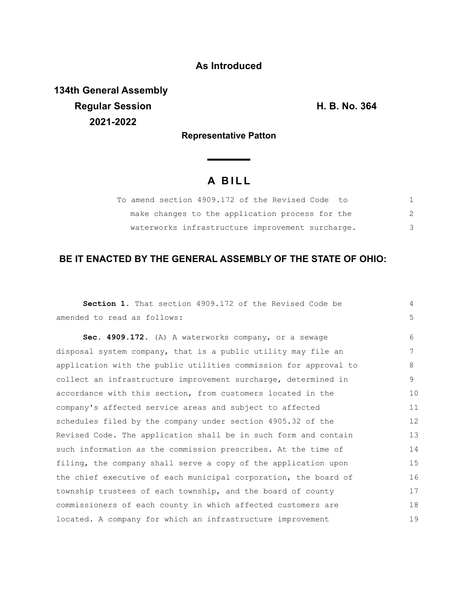## **As Introduced**

**134th General Assembly Regular Session H. B. No. 364 2021-2022**

**Representative Patton**

**Service Controller** 

## **A B I L L**

| To amend section 4909.172 of the Revised Code to |               |  |
|--------------------------------------------------|---------------|--|
| make changes to the application process for the  | $\mathcal{L}$ |  |
| waterworks infrastructure improvement surcharge. | 3             |  |

## **BE IT ENACTED BY THE GENERAL ASSEMBLY OF THE STATE OF OHIO:**

| Section 1. That section 4909.172 of the Revised Code be          | 4  |
|------------------------------------------------------------------|----|
| amended to read as follows:                                      | 5  |
| Sec. 4909.172. (A) A waterworks company, or a sewage             | 6  |
| disposal system company, that is a public utility may file an    | 7  |
| application with the public utilities commission for approval to | 8  |
| collect an infrastructure improvement surcharge, determined in   | 9  |
| accordance with this section, from customers located in the      | 10 |
| company's affected service areas and subject to affected         | 11 |
| schedules filed by the company under section 4905.32 of the      | 12 |
| Revised Code. The application shall be in such form and contain  | 13 |
| such information as the commission prescribes. At the time of    | 14 |
| filing, the company shall serve a copy of the application upon   | 15 |
| the chief executive of each municipal corporation, the board of  | 16 |
| township trustees of each township, and the board of county      | 17 |
| commissioners of each county in which affected customers are     | 18 |
| located. A company for which an infrastructure improvement       | 19 |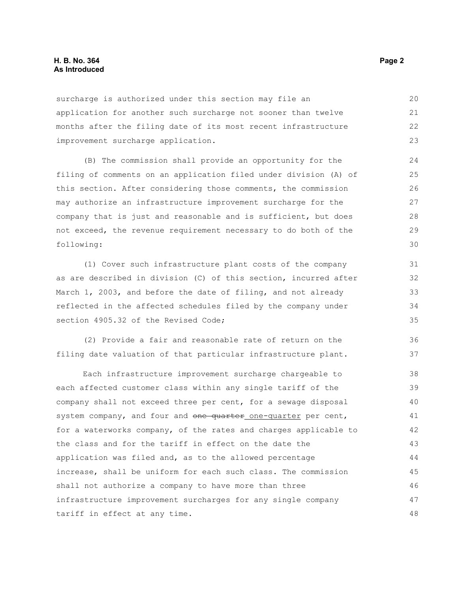surcharge is authorized under this section may file an application for another such surcharge not sooner than twelve months after the filing date of its most recent infrastructure improvement surcharge application. 21 23

(B) The commission shall provide an opportunity for the filing of comments on an application filed under division (A) of this section. After considering those comments, the commission may authorize an infrastructure improvement surcharge for the company that is just and reasonable and is sufficient, but does not exceed, the revenue requirement necessary to do both of the following:

(1) Cover such infrastructure plant costs of the company as are described in division (C) of this section, incurred after March 1, 2003, and before the date of filing, and not already reflected in the affected schedules filed by the company under section 4905.32 of the Revised Code:

(2) Provide a fair and reasonable rate of return on the filing date valuation of that particular infrastructure plant.

Each infrastructure improvement surcharge chargeable to each affected customer class within any single tariff of the company shall not exceed three per cent, for a sewage disposal system company, and four and one quarter one-quarter per cent, for a waterworks company, of the rates and charges applicable to the class and for the tariff in effect on the date the application was filed and, as to the allowed percentage increase, shall be uniform for each such class. The commission shall not authorize a company to have more than three infrastructure improvement surcharges for any single company tariff in effect at any time. 38 39 40 41 42 43 44 45 46 47 48

20

22

36 37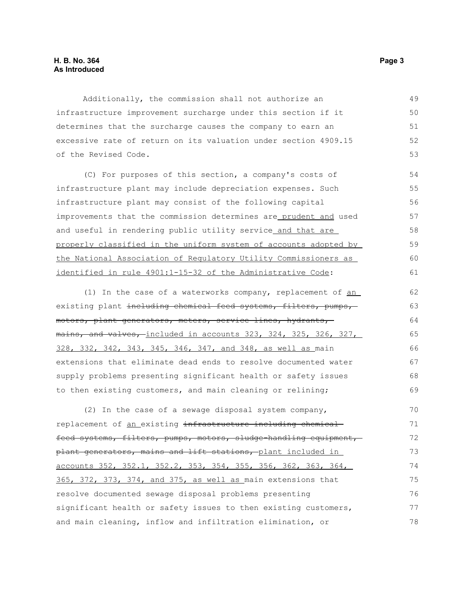Additionally, the commission shall not authorize an infrastructure improvement surcharge under this section if it determines that the surcharge causes the company to earn an excessive rate of return on its valuation under section 4909.15 of the Revised Code.

(C) For purposes of this section, a company's costs of infrastructure plant may include depreciation expenses. Such infrastructure plant may consist of the following capital improvements that the commission determines are prudent and used and useful in rendering public utility service and that are properly classified in the uniform system of accounts adopted by the National Association of Regulatory Utility Commissioners as identified in rule 4901:1-15-32 of the Administrative Code:

(1) In the case of a waterworks company, replacement of an existing plant including chemical feed systems, filters, pumps, motors, plant generators, meters, service lines, hydrants, mains, and valves, included in accounts 323, 324, 325, 326, 327, 328, 332, 342, 343, 345, 346, 347, and 348, as well as main extensions that eliminate dead ends to resolve documented water supply problems presenting significant health or safety issues to then existing customers, and main cleaning or relining; 62 63 64 65 66 67 68 69

(2) In the case of a sewage disposal system company, replacement of an existing infrastructure including chemical feed systems, filters, pumps, motors, sludge-handling equipment, plant generators, mains and lift stations, plant included in accounts 352, 352.1, 352.2, 353, 354, 355, 356, 362, 363, 364, 365, 372, 373, 374, and 375, as well as main extensions that resolve documented sewage disposal problems presenting significant health or safety issues to then existing customers, and main cleaning, inflow and infiltration elimination, or  $70$ 71 72 73 74 75 76 77 78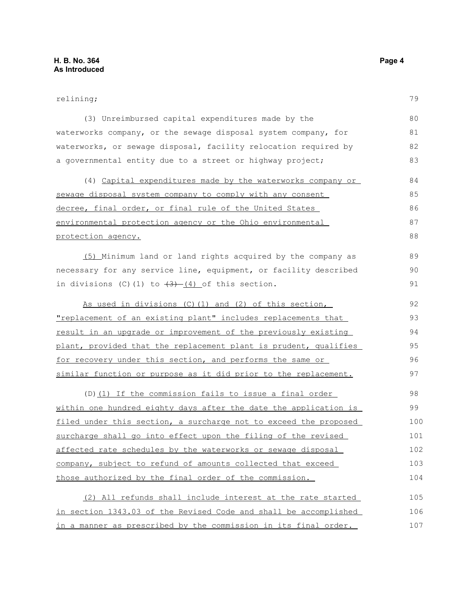## relining;

| (3) Unreimbursed capital expenditures made by the                    | 80  |
|----------------------------------------------------------------------|-----|
| waterworks company, or the sewage disposal system company, for       | 81  |
| waterworks, or sewage disposal, facility relocation required by      | 82  |
| a governmental entity due to a street or highway project;            | 83  |
| (4) Capital expenditures made by the waterworks company or           | 84  |
| sewage disposal system company to comply with any consent            | 85  |
|                                                                      | 86  |
| decree, final order, or final rule of the United States              |     |
| environmental protection agency or the Ohio environmental            | 87  |
| protection agency.                                                   | 88  |
| (5) Minimum land or land rights acquired by the company as           | 89  |
| necessary for any service line, equipment, or facility described     | 90  |
| in divisions (C)(1) to $\frac{3}{(4)}$ of this section.              | 91  |
|                                                                      |     |
| As used in divisions (C) (1) and (2) of this section,                | 92  |
| <u>"replacement of an existing plant" includes replacements that</u> | 93  |
| result in an upgrade or improvement of the previously existing       | 94  |
| plant, provided that the replacement plant is prudent, qualifies     | 95  |
| for recovery under this section, and performs the same or            | 96  |
| similar function or purpose as it did prior to the replacement.      | 97  |
| (D) (1) If the commission fails to issue a final order               | 98  |
| within one hundred eighty days after the date the application is     | 99  |
| filed under this section, a surcharge not to exceed the proposed     | 100 |
| surcharge shall go into effect upon the filing of the revised        | 101 |
| affected rate schedules by the waterworks or sewage disposal         | 102 |
| company, subject to refund of amounts collected that exceed          | 103 |
| those authorized by the final order of the commission.               | 104 |
| (2) All refunds shall include interest at the rate started           | 105 |
| in section 1343.03 of the Revised Code and shall be accomplished     | 106 |
| in a manner as prescribed by the commission in its final order.      | 107 |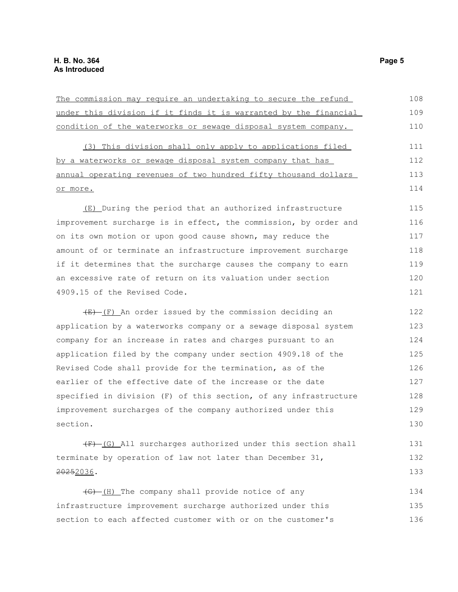| The commission may require an undertaking to secure the refund            | 108 |
|---------------------------------------------------------------------------|-----|
| under this division if it finds it is warranted by the financial          | 109 |
| condition of the waterworks or sewage disposal system company.            | 110 |
| (3) This division shall only apply to applications filed                  | 111 |
| by a waterworks or sewage disposal system company that has                | 112 |
| annual operating revenues of two hundred fifty thousand dollars           | 113 |
| or more.                                                                  | 114 |
| (E) During the period that an authorized infrastructure                   | 115 |
| improvement surcharge is in effect, the commission, by order and          | 116 |
| on its own motion or upon good cause shown, may reduce the                | 117 |
| amount of or terminate an infrastructure improvement surcharge            | 118 |
| if it determines that the surcharge causes the company to earn            | 119 |
| an excessive rate of return on its valuation under section                | 120 |
| 4909.15 of the Revised Code.                                              | 121 |
| $\overline{E}-\overline{F}$ An order issued by the commission deciding an | 122 |
| application by a waterworks company or a sewage disposal system           | 123 |
| company for an increase in rates and charges pursuant to an               | 124 |
| application filed by the company under section 4909.18 of the             | 125 |
| Revised Code shall provide for the termination, as of the                 | 126 |
| earlier of the effective date of the increase or the date                 | 127 |
| specified in division (F) of this section, of any infrastructure          | 128 |
| improvement surcharges of the company authorized under this               | 129 |
| section.                                                                  | 130 |
| $(F)$ (G) All surcharges authorized under this section shall              | 131 |
| terminate by operation of law not later than December 31,                 | 132 |
| 20252036.                                                                 | 133 |
| (G)-(H) The company shall provide notice of any                           | 134 |
| infrastructure improvement surcharge authorized under this                | 135 |

section to each affected customer with or on the customer's

135 136